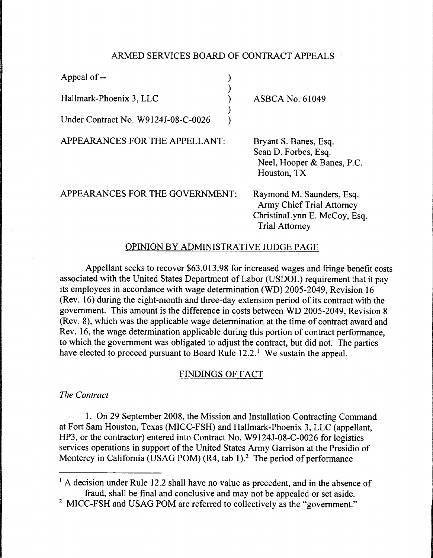# ARMED SERVICES BOARD OF CONTRACT APPEALS

| Appeal of --                        |                                                                                            |
|-------------------------------------|--------------------------------------------------------------------------------------------|
| Hallmark-Phoenix 3, LLC             | <b>ASBCA No. 61049</b>                                                                     |
| Under Contract No. W9124J-08-C-0026 |                                                                                            |
| APPEARANCES FOR THE APPELLANT:      | Bryant S. Banes, Esq.<br>Sean D. Forbes, Esq.<br>Neel, Hooper & Banes, P.C.<br>Houston, TX |
| APPEARANCES FOR THE GOVERNMENT:     | Raymond M. Saunders, Esq.<br>$\Delta$ rmy Chief Trial $\Delta$ ttorney                     |

rs. Esa. Army Chief Trial Attorney ChristinaLynn E. McCoy, Esq. Trial Attorney

# OPINION BY ADMINISTRATIVE JUDGE PAGE

Appellant seeks to recover \$63,013.98 for increased wages and fringe benefit costs associated with the United States Department of Labor (USDOL) requirement that it pay its employees in accordance with wage determination (WD) 2005-2049, Revision 16 (Rev. 16) during the eight-month and three-day extension period of its contract with the government. This amount is the difference in costs between WD 2005-2049, Revision 8 (Rev. 8), which was the applicable wage determination at the time of contract award and Rev. 16, the wage determination applicable during this portion of contract performance, to which the government was obligated to adjust the contract, but did not. The parties have elected to proceed pursuant to Board Rule  $12.2$ .<sup>1</sup> We sustain the appeal.

# FINDINGS OF FACT

*The Contract* 

1. On 29 September 2008, the Mission and Installation Contracting Command at Fort Sam Houston, Texas (MICC-FSH) and Hallmark-Phoenix 3, LLC (appellant, HP3, or the contractor) entered into Contract No. W9124J-08-C-0026 for logistics services operations in support of the United States Army Garrison at the Presidio of Monterey in California (USAG POM)  $(R4, tab 1)$ .<sup>2</sup> The period of performance

<sup>&</sup>lt;sup>1</sup> A decision under Rule 12.2 shall have no value as precedent, and in the absence of fraud, shall be final and conclusive and may not be appealed or set aside.

<sup>&</sup>lt;sup>2</sup> MICC-FSH and USAG POM are referred to collectively as the "government."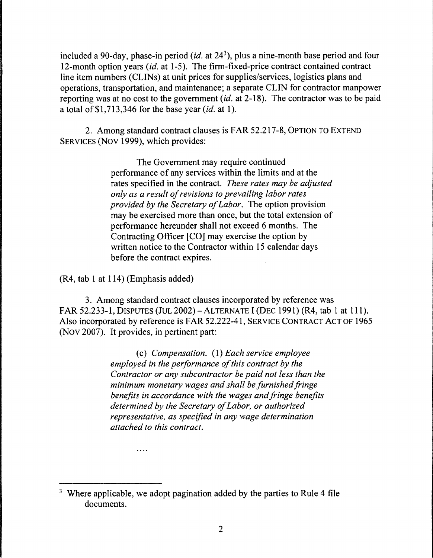included a 90-day, phase-in period *(id.* at 243), plus a nine-month base period and four 12-month option years *(id.* at 1-5). The firm-fixed-price contract contained contract line item numbers (CLINs) at unit prices for supplies/services, logistics plans and operations, transportation, and maintenance; a separate CLIN for contractor manpower reporting was at no cost to the government *(id.* at 2-18). The contractor was to be paid a total of \$1,713,346 for the base year *(id.* at 1).

2. Among standard contract clauses is FAR 52.217-8, OPTION TO EXTEND SERVICES (Nov 1999), which provides:

> The Government may require continued performance of any services within the limits and at the rates specified in the contract. *These rates may be adjusted only as a result of revisions to prevailing labor rates provided by the Secretary of Labor.* The option provision may be exercised more than once, but the total extension of performance hereunder shall not exceed 6 months. The Contracting Officer [CO] may exercise the option by written notice to the Contractor within 15 calendar days before the contract expires.

(R4, tab 1 at 114) (Emphasis added)

. . . .

3. Among standard contract clauses incorporated by reference was FAR 52.233-1, DISPUTES (JUL 2002) - ALTERNATE I (DEC 1991) (R4, tab 1 at 111). Also incorporated by reference is FAR 52.222-41, SERVICE CONTRACT ACT OF 1965 (Nov 2007). It provides, in pertinent part:

> ( c) *Compensation.* ( 1) *Each service employee employed in the performance of this contract by the Contractor or any subcontractor be paid not less than the minimum monetary wages and shall be furnished fringe benefits in accordance with the wages and fringe benefits determined by the Secretary of Labor, or authorized representative, as specified in any wage determination attached to this contract.*

<sup>&</sup>lt;sup>3</sup> Where applicable, we adopt pagination added by the parties to Rule 4 file documents.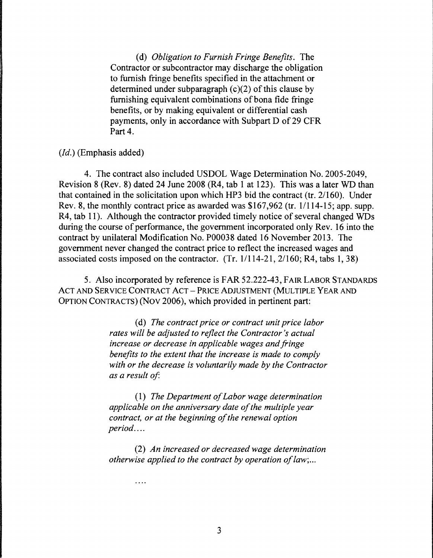(d) *Obligation to Furnish Fringe Benefits.* The Contractor or subcontractor may discharge the obligation to furnish fringe benefits specified in the attachment or determined under subparagraph  $(c)(2)$  of this clause by furnishing equivalent combinations of bona fide fringe benefits, or by making equivalent or differential cash payments, only in accordance with Subpart D of 29 CFR Part 4.

## *(Id.)* (Emphasis added)

4. The contract also included USDOL Wage Determination No. 2005-2049, Revision 8 (Rev. 8) dated 24 June 2008 (R4, tab 1 at 123). This was a later WD than that contained in the solicitation upon which HP3 bid the contract (tr. 2/160). Under Rev. 8, the monthly contract price as awarded was \$167,962 (tr. 1/114-15; app. supp. R4, tab 11). Although the contractor provided timely notice of several changed WDs during the course of performance, the government incorporated only Rev. 16 into the contract by unilateral Modification No. P00038 dated 16 November 2013. The government never changed the contract price to reflect the increased wages and associated costs imposed on the contractor.  $(Tr. 1/114-21, 2/160; R4, tabs 1, 38)$ 

5. Also incorporated by reference is FAR 52.222-43, FAIR LABOR STANDARDS ACT AND SERVICE CONTRACT ACT - PRICE ADJUSTMENT (MULTIPLE YEAR AND OPTION CONTRACTS) (Nov 2006), which provided in pertinent part:

> ( d) *The contract price or contract unit price labor rates will be adjusted to reflect the Contractor's actual increase or decrease in applicable wages and fringe benefits to the extent that the increase is made to comply with or the decrease is voluntarily made by the Contractor as a result of*

( 1) *The Department of Labor wage determination applicable on the anniversary date of the multiple year contract, or at the beginning of the renewal option period ....* 

(2) *An increased or decreased wage determination otherwise applied to the contract by operation of law; ...* 

 $\cdots$ 

3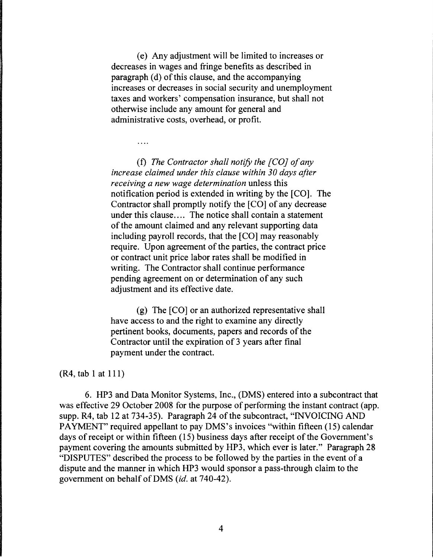( e) Any adjustment will be limited to increases or decreases in wages and fringe benefits as described in paragraph (d) of this clause, and the accompanying increases or decreases in social security and unemployment taxes and workers' compensation insurance, but shall not otherwise include any amount for general and administrative costs, overhead, or profit.

 $\overline{a}$ 

(f) *The Contractor shall notify the [CO] of any increase claimed under this clause within 30 days after receiving a new wage determination* unless this notification period is extended in writing by the [CO]. The Contractor shall promptly notify the [CO] of any decrease under this clause.... The notice shall contain a statement of the amount claimed and any relevant supporting data including payroll records, that the [CO] may reasonably require. Upon agreement of the parties, the contract price or contract unit price labor rates shall be modified in writing. The Contractor shall continue performance pending agreement on or determination of any such adjustment and its effective date.

(g) The [CO] or an authorized representative shall have access to and the right to examine any directly pertinent books, documents, papers and records of the Contractor until the expiration of 3 years after final payment under the contract.

### (R4, tab 1 at 111)

6. HP3 and Data Monitor Systems, Inc., (DMS) entered into a subcontract that was effective 29 October 2008 for the purpose of performing the instant contract (app. supp. R4, tab 12 at 734-35). Paragraph 24 of the subcontract, "INVOICING AND PAYMENT" required appellant to pay DMS's invoices "within fifteen (15) calendar days of receipt or within fifteen (15) business days after receipt of the Government's payment covering the amounts submitted by HP3, which ever is later." Paragraph 28 "DISPUTES" described the process to be followed by the parties in the event of a dispute and the manner in which HP3 would sponsor a pass-through claim to the government on behalf ofDMS *(id.* at 740-42).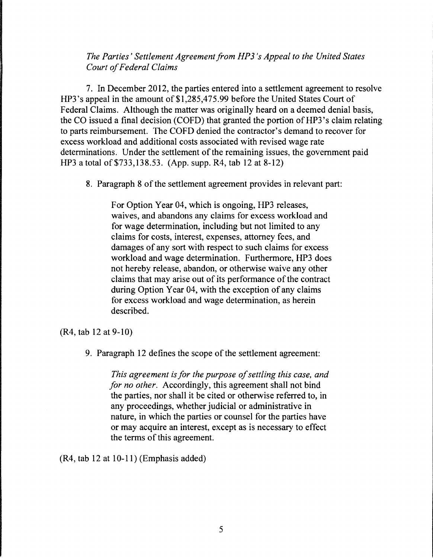# *The Parties' Settlement Agreement from HP3 's Appeal to the United States Court of Federal Claims*

7. In December 2012, the parties entered into a settlement agreement to resolve HP3's appeal in the amount of \$1,285,475.99 before the United States Court of Federal Claims. Although the matter was originally heard on a deemed denial basis, the CO issued a final decision (COFD) that granted the portion of HP3's claim relating to parts reimbursement. The COFD denied the contractor's demand to recover for excess workload and additional costs associated with revised wage rate determinations. Under the settlement of the remaining issues, the government paid HP3 a total of\$733,138.53. (App. supp. R4, tab 12 at 8-12)

8. Paragraph 8 of the settlement agreement provides in relevant part:

For Option Year 04, which is ongoing, HP3 releases, waives, and abandons any claims for excess workload and for wage determination, including but not limited to any claims for costs, interest, expenses, attorney fees, and damages of any sort with respect to such claims for excess workload and wage determination. Furthermore, HP3 does not hereby release, abandon, or otherwise waive any other claims that may arise out of its performance of the contract during Option Year 04, with the exception of any claims for excess workload and wage determination, as herein described.

(R4, tab 12 at 9-10)

9. Paragraph 12 defines the scope of the settlement agreement:

*This agreement is for the purpose of settling this case, and for no other.* Accordingly, this agreement shall not bind the parties, nor shall it be cited or otherwise referred to, in any proceedings, whether judicial or administrative in nature, in which the parties or counsel for the parties have or may acquire an interest, except as is necessary to effect the terms of this agreement.

(R4, tab 12 at 10-11) (Emphasis added)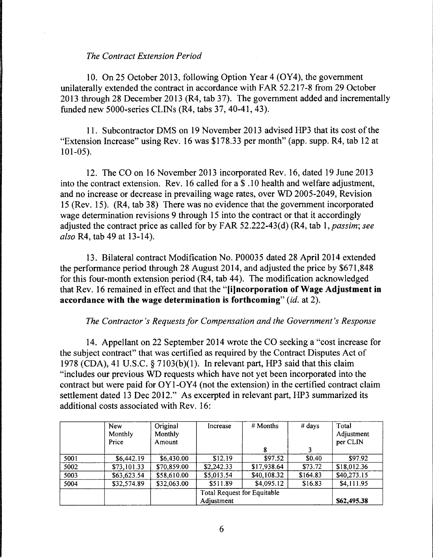### *The Contract Extension Period*

10. On 25 October 2013, following Option Year 4 (OY4), the government unilaterally extended the contract in accordance with FAR 52.217-8 from 29 October 2013 through 28 December 2013 (R4, tab 37). The government added and incrementally funded new 5000-series CLINs (R4, tabs 37, 40-41, 43).

11. Subcontractor DMS on 19 November 2013 advised HP3 that its cost of the "Extension Increase" using Rev. 16 was \$178.33 per month" (app. supp. R4, tab 12 at 101-05).

12. The CO on 16 November 2013 incorporated Rev. 16, dated 19 June 2013 into the contract extension. Rev. 16 called for a \$ .10 health and welfare adjustment, and no increase or decrease in prevailing wage rates, over WD 2005-2049, Revision 15 (Rev. 15). (R4, tab 38) There was no evidence that the government incorporated wage determination revisions 9 through 15 into the contract or that it accordingly adjusted the contract price as called for by FAR 52.222-43( d) (R4, tab 1, *passim; see also* R4, tab 49 at 13-14).

13. Bilateral contract Modification No. P00035 dated 28 April 2014 extended the performance period through 28 August 2014, and adjusted the price by \$671,848 for this four-month extension period (R4, tab 44 ). The modification acknowledged that Rev. 16 remained in effect and that the **"[i]ncorporation of Wage Adjustment in accordance with the wage determination is forthcoming"** *(id.* at 2).

### *The Contractor's Requests for Compensation and the Government's Response*

14. Appellant on 22 September 2014 wrote the CO seeking a "cost increase for the subject contract" that was certified as required by the Contract Disputes Act of 1978 (CDA), 41 U.S.C. § 7103(b)(l). In relevant part, HP3 said that this claim "includes our previous WD requests which have not yet been incorporated into the contract but were paid for OY1-0Y4 (not the extension) in the certified contract claim settlement dated 13 Dec 2012." As excerpted in relevant part, HP3 summarized its additional costs associated with Rev. 16:

|      | <b>New</b><br>Monthly<br>Price | Original<br>Monthly<br>Amount | Increase                    | # Months    | $#$ days | Total<br>Adjustment<br>per CLIN |
|------|--------------------------------|-------------------------------|-----------------------------|-------------|----------|---------------------------------|
|      |                                |                               |                             |             |          |                                 |
| 5001 | \$6,442.19                     | \$6,430.00                    | \$12.19                     | \$97.52     | \$0.40   | \$97.92                         |
| 5002 | \$73,101.33                    | \$70,859.00                   | \$2,242.33                  | \$17,938.64 | \$73.72  | \$18,012.36                     |
| 5003 | \$63,623.54                    | \$58,610.00                   | \$5,013.54                  | \$40,108.32 | \$164.83 | \$40,273.15                     |
| 5004 | \$32,574.89                    | \$32,063.00                   | \$511.89                    | \$4,095.12  | \$16.83  | \$4,111.95                      |
|      |                                |                               | Total Request for Equitable |             |          |                                 |
|      |                                |                               | Adjustment                  |             |          | \$62,495.38                     |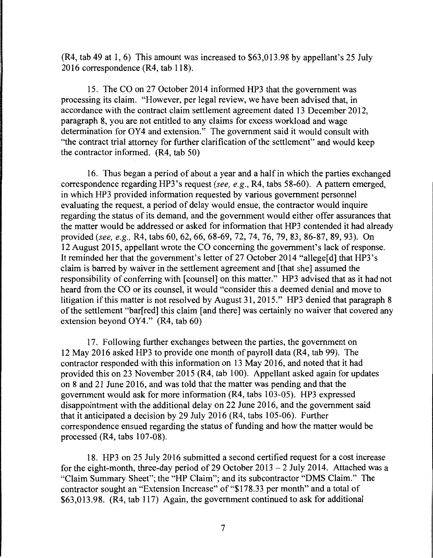(R4, tab 49 at 1, 6) This amount was increased to \$63,013.98 by appellant's 25 July 2016 correspondence (R4, tab 118).

15. The CO on 27 October 2014 informed HP3 that the government was processing its claim. "However, per legal review, we have been advised that, in accordance with the contract claim settlement agreement dated 13 December 2012, paragraph 8, you are not entitled to any claims for excess workload and wage determination for OY4 and extension." The government said it would consult with "the contract trial attorney for further clarification of the settlement" and would keep the contractor informed. (R4, tab 50)

16. Thus began a period of about a year and a half in which the parties exchanged correspondence regarding HP3 's request *(see, e.g.,* R4, tabs 58-60). A pattern emerged, in which HP3 provided information requested by various government personnel evaluating the request, a period of delay would ensue, the contractor would inquire regarding the status of its demand, and the government would either offer assurances that the matter would be addressed or asked for information that HP3 contended it had already provided *(see, e.g.,* R4, tabs 60, 62, 66, 68-69, 72, 74, 76, 79, 83, 86-87, 89, 93). On 12 August 2015, appellant wrote the CO concerning the government's lack of response. It reminded her that the government's letter of 27 October 2014 "allege[d] that HP3's claim is barred by waiver in the settlement agreement and [that she] assumed the responsibility of conferring with [counsel] on this matter." HP3 advised that as it had not heard from the CO or its counsel, it would "consider this a deemed denial and move to litigation if this matter is not resolved by August 31, 2015." HP3 denied that paragraph 8 of the settlement "bar[ red] this claim [and there] was certainly no waiver that covered any extension beyond OY4." (R4, tab 60)

17. Following further exchanges between the parties, the government on 12 May 2016 asked HP3 to provide one month of payroll data (R4, tab 99). The contractor responded with this information on 13 May 2016, and noted that it had provided this on 23 November 2015 (R4, tab 100). Appellant asked again for updates on 8 and 21 June 2016, and was told that the matter was pending and that the government would ask for more information (R4, tabs 103-05). HP3 expressed disappointment with the additional delay on 22 June 2016, and the government said that it anticipated a decision by 29 July 2016 (R4, tabs 105-06). Further correspondence ensued regarding the status of funding and how the matter would be processed (R4, tabs 107-08).

18. HP3 on 25 July 2016 submitted a second certified request for a cost increase for the eight-month, three-day period of 29 October  $2013 - 2$  July 2014. Attached was a "Claim Summary Sheet"; the "HP Claim"; and its subcontractor "DMS Claim." The contractor sought an "Extension Increase" of "\$178.33 per month" and a total of  $$63,013.98.$  (R4, tab 117) Again, the government continued to ask for additional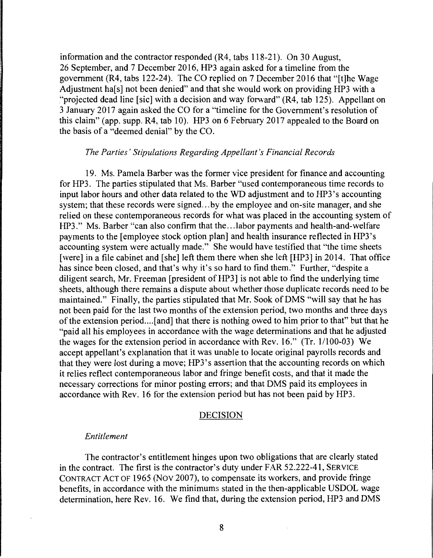information and the contractor responded  $(R4, tabs 118-21)$ . On 30 August, 26 September, and 7 December 2016, HP3 again asked for a timeline from the government (R4, tabs 122-24). The CO replied on 7 December 2016 that "[t]he Wage Adjustment hals] not been denied" and that she would work on providing HP3 with a "projected dead line [sic] with a decision and way forward" (R4, tab 125). Appellant on 3 January 2017 again asked the CO for a "time line for the Government's resolution of this claim" (app. supp. R4, tab 10). HP3 on 6 February 2017 appealed to the Board on the basis of a "deemed denial" by the CO.

#### *The Parties' Stipulations Regarding Appellant's Financial Records*

19. Ms. Pamela Barber was the former vice president for finance and accounting for HP3. The parties stipulated that Ms. Barber "used contemporaneous time records to input labor hours and other data related to the WD adjustment and to HP3's accounting system; that these records were signed...by the employee and on-site manager, and she relied on these contemporaneous records for what was placed in the accounting system of HP3." Ms. Barber "can also confirm that the ... labor payments and health-and-welfare payments to the [employee stock option plan] and health insurance reflected in HP3's accounting system were actually made." She would have testified that "the time sheets [were] in a file cabinet and [she] left them there when she left [HP3] in 2014. That office has since been closed, and that's why it's so hard to find them." Further, "despite a diligent search, Mr. Freeman [president of HP3] is not able to find the underlying time sheets, although there remains a dispute about whether those duplicate records need to be maintained." Finally, the parties stipulated that Mr. Sook of DMS "will say that he has not been paid for the last two months of the extension period, two months and three days of the extension period....[and] that there is nothing owed to him prior to that" but that he "paid all his employees in accordance with the wage determinations and that he adjusted the wages for the extension period in accordance with Rev. 16." (Tr. 1/100-03) We accept appellant's explanation that it was unable to locate original payrolls records and that they were lost during a move; HP3 's assertion that the accounting records on which it relies reflect contemporaneous labor and fringe benefit costs, and that it made the necessary corrections for minor posting errors; and that DMS paid its employees in accordance with Rev. 16 for the extension period but has not been paid by HP3.

#### DECISION

#### *Entitlement*

The contractor's entitlement hinges upon two obligations that are clearly stated in the contract. The first is the contractor's duty under FAR 52.222-41, SERVICE CONTRACT ACT OF 1965 (Nov 2007), to compensate its workers, and provide fringe benefits, in accordance with the minimums stated in the then-applicable USDOL wage determination, here Rev. 16. We find that, during the extension period, HP3 and DMS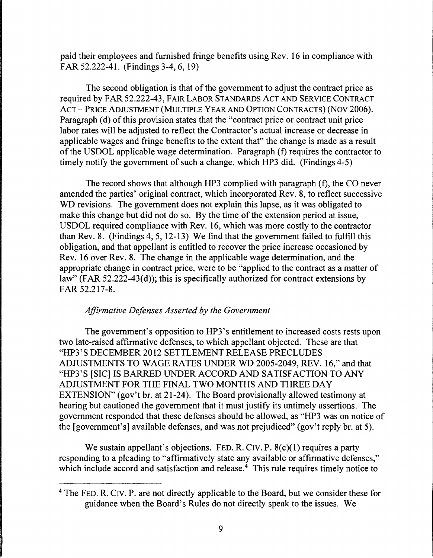paid their employees and furnished fringe benefits using Rev. 16 in compliance with FAR 52.222-41. (Findings 3-4, 6, 19)

The second obligation is that of the government to adjust the contract price as required by FAR 52.222-43, FAIR LABOR STANDARDS ACT AND SERVICE CONTRACT ACT- PRICE ADJUSTMENT (MULTIPLE YEAR AND OPTION CONTRACTS) (Nov 2006). Paragraph (d) of this provision states that the "contract price or contract unit price labor rates will be adjusted to reflect the Contractor's actual increase or decrease in applicable wages and fringe benefits to the extent that" the change is made as a result of the USDOL applicable wage determination. Paragraph (f) requires the contractor to timely notify the government of such a change, which HP3 did. (Findings 4-5)

The record shows that although HP3 complied with paragraph (f), the CO never amended the parties' original contract, which incorporated Rev. 8, to reflect successive WD revisions. The government does not explain this lapse, as it was obligated to make this change but did not do so. By the time of the extension period at issue, USDOL required compliance with Rev. 16, which was more costly to the contractor than Rev. 8. (Findings 4, 5, 12-13) We find that the government failed to fulfill this obligation, and that appellant is entitled to recover the price increase occasioned by Rev. 16 over Rev. 8. The change in the applicable wage determination, and the appropriate change in contract price, were to be "applied to the contract as a matter of law" (FAR 52.222-43(d)); this is specifically authorized for contract extensions by FAR 52.217-8.

# *Affirmative Defenses Asserted by the Government*

The government's opposition to HP3's entitlement to increased costs rests upon two late-raised affirmative defenses, to which appellant objected. These are that "HP3'S DECEMBER 2012 SETTLEMENT RELEASE PRECLUDES ADJUSTMENTS TO WAGE RATES UNDER WD 2005-2049, REV. 16," and that "HP3'S [SIC] IS BARRED UNDER ACCORD AND SATISFACTION TO ANY ADJUSTMENT FOR THE FINAL TWO MONTHS AND THREE DAY EXTENSION" (gov't br. at 21-24). The Board provisionally allowed testimony at hearing but cautioned the government that it must justify its untimely assertions. The government responded that these defenses should be allowed, as "HP3 was on notice of the [government's] available defenses, and was not prejudiced" (gov't reply br. at 5).

We sustain appellant's objections. FED. R. CIV. P.  $8(c)(1)$  requires a party responding to a pleading to "affirmatively state any available or affirmative defenses," which include accord and satisfaction and release.<sup>4</sup> This rule requires timely notice to

<sup>4</sup> The FED. R. CIV. P. are not directly applicable to the Board, but we consider these for guidance when the Board's Rules do not directly speak to the issues. We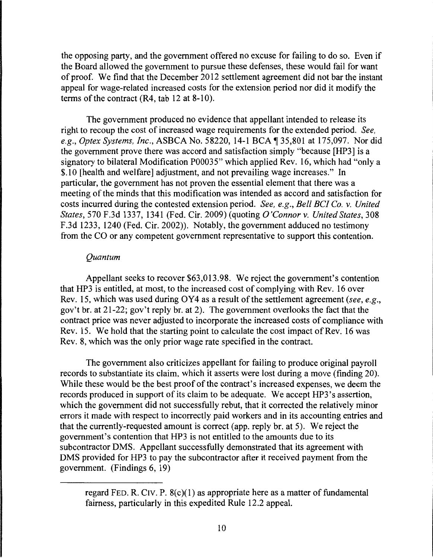the opposing party, and the government offered no excuse for failing to do so. Even if the Board allowed the government to pursue these defenses, these would fail for want of proof. We find that the December 2012 settlement agreement did not bar the instant appeal for wage-related increased costs for the extension period nor did it modify the terms of the contract (R4, tab 12 at 8-10).

The government produced no evidence that appellant intended to release its right to recoup the cost of increased wage requirements for the extended period. *See, e.g., Optex Systems, Inc., ASBCA No.* 58220, 14-1 BCA ¶ 35,801 at 175,097. Nor did the government prove there was accord and satisfaction simply "because [HP3] is a signatory to bilateral Modification P00035" which applied Rev. 16, which had "only a \$.10 [health and welfare] adjustment, and not prevailing wage increases." In particular, the government has not proven the essential element that there was a meeting of the minds that this modification was intended as accord and satisfaction for costs incurred during the contested extension period. *See, e.g., Bell BC! Co.* v. *United States,* 570 F.3d 1337, 1341 (Fed. Cir. 2009) (quoting *O'Connor* v. *United States,* 308 F.3d 1233, 1240 (Fed. Cir. 2002)). Notably, the government adduced no testimony from the CO or any competent government representative to support this contention.

## *Quantum*

Appellant seeks to recover \$63,013.98. We reject the government's contention that HP3 is entitled, at most, to the increased cost of complying with Rev. 16 over Rev. 15, which was used during OY4 as a result of the settlement agreement *(see, e.g.,*  gov't br. at 21-22; gov't reply br. at 2). The government overlooks the fact that the contract price was never adjusted to incorporate the increased costs of compliance with Rev. 15. We hold that the starting point to calculate the cost impact of Rev. 16 was Rev. 8, which was the only prior wage rate specified in the contract.

The government also criticizes appellant for failing to produce original payroll records to substantiate its claim, which it asserts were lost during a move (finding 20). While these would be the best proof of the contract's increased expenses, we deem the records produced in support of its claim to be adequate. We accept HP3 's assertion, which the government did not successfully rebut, that it corrected the relatively minor errors it made with respect to incorrectly paid workers and in its accounting entries and that the currently-requested amount is correct (app. reply hr. at 5). We reject the government's contention that HP3 is not entitled to the amounts due to its subcontractor DMS. Appellant successfully demonstrated that its agreement with DMS provided for HP3 to pay the subcontractor after it received payment from the government. (Findings 6, 19)

regard FED. R. CIV. P.  $8(c)(1)$  as appropriate here as a matter of fundamental fairness, particularly in this expedited Rule 12.2 appeal.